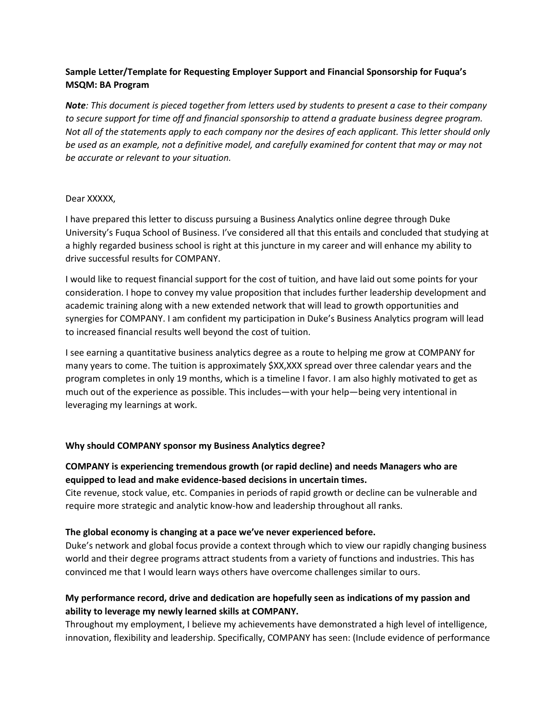# **Sample Letter/Template for Requesting Employer Support and Financial Sponsorship for Fuqua's MSQM: BA Program**

*Note: This document is pieced together from letters used by students to present a case to their company to secure support for time off and financial sponsorship to attend a graduate business degree program. Not all of the statements apply to each company nor the desires of each applicant. This letter should only be used as an example, not a definitive model, and carefully examined for content that may or may not be accurate or relevant to your situation.* 

### Dear XXXXX,

I have prepared this letter to discuss pursuing a Business Analytics online degree through Duke University's Fuqua School of Business. I've considered all that this entails and concluded that studying at a highly regarded business school is right at this juncture in my career and will enhance my ability to drive successful results for COMPANY.

I would like to request financial support for the cost of tuition, and have laid out some points for your consideration. I hope to convey my value proposition that includes further leadership development and academic training along with a new extended network that will lead to growth opportunities and synergies for COMPANY. I am confident my participation in Duke's Business Analytics program will lead to increased financial results well beyond the cost of tuition.

I see earning a quantitative business analytics degree as a route to helping me grow at COMPANY for many years to come. The tuition is approximately \$XX,XXX spread over three calendar years and the program completes in only 19 months, which is a timeline I favor. I am also highly motivated to get as much out of the experience as possible. This includes—with your help—being very intentional in leveraging my learnings at work.

### **Why should COMPANY sponsor my Business Analytics degree?**

## **COMPANY is experiencing tremendous growth (or rapid decline) and needs Managers who are equipped to lead and make evidence-based decisions in uncertain times.**

Cite revenue, stock value, etc. Companies in periods of rapid growth or decline can be vulnerable and require more strategic and analytic know-how and leadership throughout all ranks.

### **The global economy is changing at a pace we've never experienced before.**

Duke's network and global focus provide a context through which to view our rapidly changing business world and their degree programs attract students from a variety of functions and industries. This has convinced me that I would learn ways others have overcome challenges similar to ours.

# **My performance record, drive and dedication are hopefully seen as indications of my passion and ability to leverage my newly learned skills at COMPANY.**

Throughout my employment, I believe my achievements have demonstrated a high level of intelligence, innovation, flexibility and leadership. Specifically, COMPANY has seen: (Include evidence of performance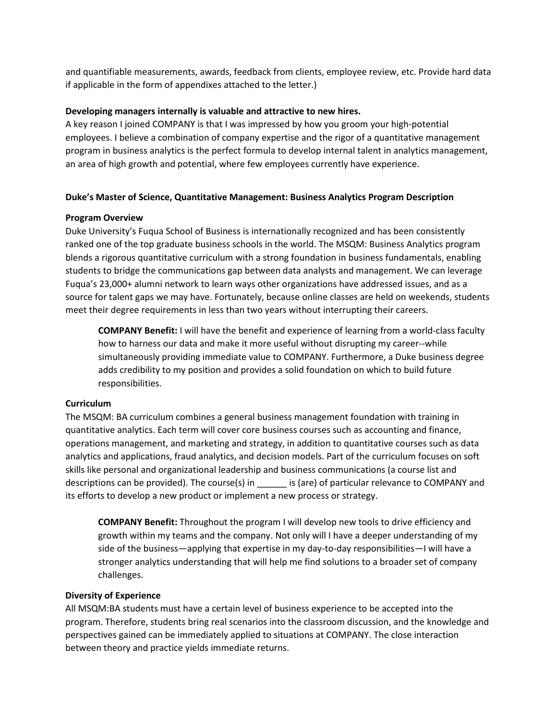and quantifiable measurements, awards, feedback from clients, employee review, etc. Provide hard data if applicable in the form of appendixes attached to the letter.)

## **Developing managers internally is valuable and attractive to new hires.**

A key reason I joined COMPANY is that I was impressed by how you groom your high-potential employees. I believe a combination of company expertise and the rigor of a quantitative management program in business analytics is the perfect formula to develop internal talent in analytics management, an area of high growth and potential, where few employees currently have experience.

## **Duke's Master of Science, Quantitative Management: Business Analytics Program Description**

## **Program Overview**

Duke University's Fuqua School of Business is internationally recognized and has been consistently ranked one of the top graduate business schools in the world. The MSQM: Business Analytics program blends a rigorous quantitative curriculum with a strong foundation in business fundamentals, enabling students to bridge the communications gap between data analysts and management. We can leverage Fuqua's 23,000+ alumni network to learn ways other organizations have addressed issues, and as a source for talent gaps we may have. Fortunately, because online classes are held on weekends, students meet their degree requirements in less than two years without interrupting their careers.

**COMPANY Benefit:** I will have the benefit and experience of learning from a world-class faculty how to harness our data and make it more useful without disrupting my career--while simultaneously providing immediate value to COMPANY. Furthermore, a Duke business degree adds credibility to my position and provides a solid foundation on which to build future responsibilities.

## **Curriculum**

The MSQM: BA curriculum combines a general business management foundation with training in quantitative analytics. Each term will cover core business courses such as accounting and finance, operations management, and marketing and strategy, in addition to quantitative courses such as data analytics and applications, fraud analytics, and decision models. Part of the curriculum focuses on soft skills like personal and organizational leadership and business communications (a course list and descriptions can be provided). The course(s) in \_\_\_\_\_\_ is (are) of particular relevance to COMPANY and its efforts to develop a new product or implement a new process or strategy.

**COMPANY Benefit:** Throughout the program I will develop new tools to drive efficiency and growth within my teams and the company. Not only will I have a deeper understanding of my side of the business—applying that expertise in my day-to-day responsibilities—I will have a stronger analytics understanding that will help me find solutions to a broader set of company challenges.

### **Diversity of Experience**

All MSQM:BA students must have a certain level of business experience to be accepted into the program. Therefore, students bring real scenarios into the classroom discussion, and the knowledge and perspectives gained can be immediately applied to situations at COMPANY. The close interaction between theory and practice yields immediate returns.